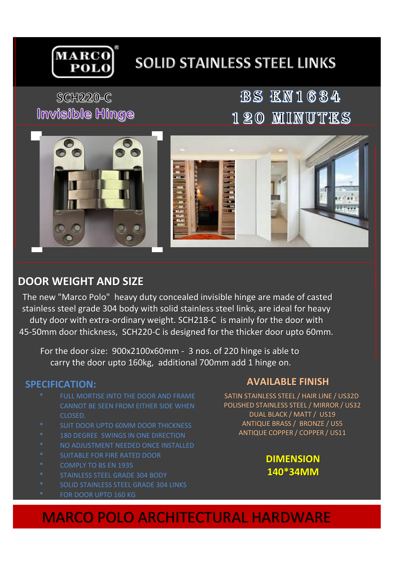

# **SOLID STAINLESS STEEL LINKS**

## **SCH220-C** Invisible Hinge

## **BS EN1634** 120 MINUTES



### **DOOR WEIGHT AND SIZE**

The new "Marco Polo" heavy duty concealed invisible hinge are made of casted stainless steel grade 304 body with solid stainless steel links, are ideal for heavy duty door with extra-ordinary weight. SCH218-C is mainly for the door with 45-50mm door thickness, SCH220-C is designed for the thicker door upto 60mm.

For the door size: 900x2100x60mm - 3 nos. of 220 hinge is able to carry the door upto 160kg, additional 700mm add 1 hinge on.

#### **SPECIFICATION:**

- FULL MORTISE INTO THE DOOR AND FRAME CANNOT BE SEEN FROM EITHER SIDE WHEN CLOSED.
- SUIT DOOR UPTO 60MM DOOR THICKNESS
- 180 DEGREE SWINGS IN ONE DIRECTION
- NO ADJUSTMENT NEEDED ONCE INSTALLED
- SUITABLE FOR FIRE RATED DOOR
- COMPLY TO BS EN 1935
- STAINLESS STEEL GRADE 304 BODY
- SOLID STAINLESS STEEL GRADE 304 LINKS
- FOR DOOR UPTO 160 KG

#### **AVAILABLE FINISH**

SATIN STAINLESS STEEL / HAIR LINE / US32D POLISHED STAINLESS STEEL / MIRROR / US32 DUAL BLACK / MATT / US19 ANTIQUE BRASS / BRONZE / US5 ANTIQUE COPPER / COPPER / US11

> **DIMENSION 140\*34MM**

## MARCO POLO ARCHITECTURAL HARDWARE